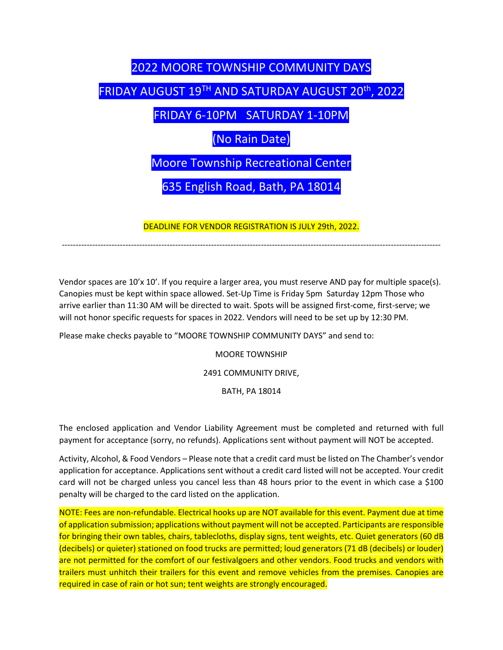## 2022 MOORE TOWNSHIP COMMUNITY DAYS

## FRIDAY AUGUST 19TH AND SATURDAY AUGUST 20th , 2022

FRIDAY 6-10PM SATURDAY 1-10PM

(No Rain Date)

Moore Township Recreational Center

635 English Road, Bath, PA 18014

DEADLINE FOR VENDOR REGISTRATION IS JULY 29th, 2022.

-----------------------------------------------------------------------------------------------------------------------------------------

Vendor spaces are 10'x 10'. If you require a larger area, you must reserve AND pay for multiple space(s). Canopies must be kept within space allowed. Set-Up Time is Friday 5pm Saturday 12pm Those who arrive earlier than 11:30 AM will be directed to wait. Spots will be assigned first-come, first-serve; we will not honor specific requests for spaces in 2022. Vendors will need to be set up by 12:30 PM.

Please make checks payable to "MOORE TOWNSHIP COMMUNITY DAYS" and send to:

MOORE TOWNSHIP

2491 COMMUNITY DRIVE,

BATH, PA 18014

The enclosed application and Vendor Liability Agreement must be completed and returned with full payment for acceptance (sorry, no refunds). Applications sent without payment will NOT be accepted.

Activity, Alcohol, & Food Vendors – Please note that a credit card must be listed on The Chamber's vendor application for acceptance. Applications sent without a credit card listed will not be accepted. Your credit card will not be charged unless you cancel less than 48 hours prior to the event in which case a \$100 penalty will be charged to the card listed on the application.

NOTE: Fees are non-refundable. Electrical hooks up are NOT available for this event. Payment due at time of application submission; applications without payment will not be accepted. Participants are responsible for bringing their own tables, chairs, tablecloths, display signs, tent weights, etc. Quiet generators (60 dB (decibels) or quieter) stationed on food trucks are permitted; loud generators (71 dB (decibels) or louder) are not permitted for the comfort of our festivalgoers and other vendors. Food trucks and vendors with trailers must unhitch their trailers for this event and remove vehicles from the premises. Canopies are required in case of rain or hot sun; tent weights are strongly encouraged.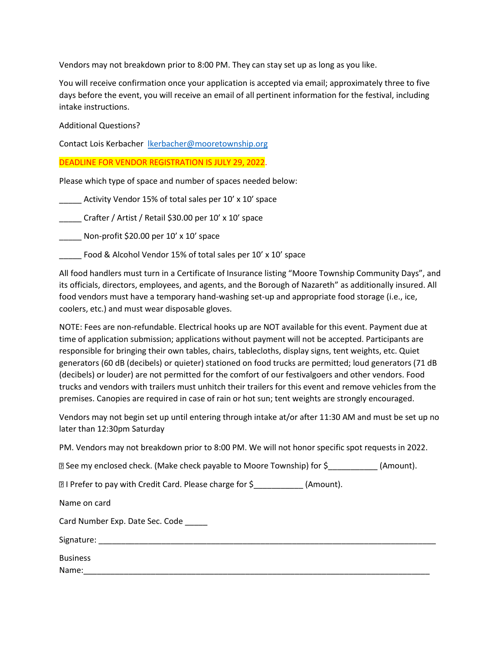Vendors may not breakdown prior to 8:00 PM. They can stay set up as long as you like.

You will receive confirmation once your application is accepted via email; approximately three to five days before the event, you will receive an email of all pertinent information for the festival, including intake instructions.

Additional Questions?

Contact Lois Kerbacher [lkerbacher@mooretownship.org](mailto:lkerbacher@mooretownship.org)

DEADLINE FOR VENDOR REGISTRATION IS JULY 29, 2022.

Please which type of space and number of spaces needed below:

Activity Vendor 15% of total sales per 10' x 10' space

\_\_\_\_\_ Crafter / Artist / Retail \$30.00 per 10' x 10' space

\_\_\_\_\_ Non-profit \$20.00 per 10' x 10' space

Food & Alcohol Vendor 15% of total sales per 10' x 10' space

All food handlers must turn in a Certificate of Insurance listing "Moore Township Community Days", and its officials, directors, employees, and agents, and the Borough of Nazareth" as additionally insured. All food vendors must have a temporary hand-washing set-up and appropriate food storage (i.e., ice, coolers, etc.) and must wear disposable gloves.

NOTE: Fees are non-refundable. Electrical hooks up are NOT available for this event. Payment due at time of application submission; applications without payment will not be accepted. Participants are responsible for bringing their own tables, chairs, tablecloths, display signs, tent weights, etc. Quiet generators (60 dB (decibels) or quieter) stationed on food trucks are permitted; loud generators (71 dB (decibels) or louder) are not permitted for the comfort of our festivalgoers and other vendors. Food trucks and vendors with trailers must unhitch their trailers for this event and remove vehicles from the premises. Canopies are required in case of rain or hot sun; tent weights are strongly encouraged.

Vendors may not begin set up until entering through intake at/or after 11:30 AM and must be set up no later than 12:30pm Saturday

PM. Vendors may not breakdown prior to 8:00 PM. We will not honor specific spot requests in 2022.

See my enclosed check. (Make check payable to Moore Township) for \$\_\_\_\_\_\_\_\_\_\_\_ (Amount).

**I** I Prefer to pay with Credit Card. Please charge for \$\_\_\_\_\_\_\_\_\_\_\_\_ (Amount).

Name on card

| Card Number Exp. Date Sec. Code |  |
|---------------------------------|--|
|---------------------------------|--|

| Signature: |
|------------|
|------------|

| <b>Business</b> |  |  |  |
|-----------------|--|--|--|
| Name:           |  |  |  |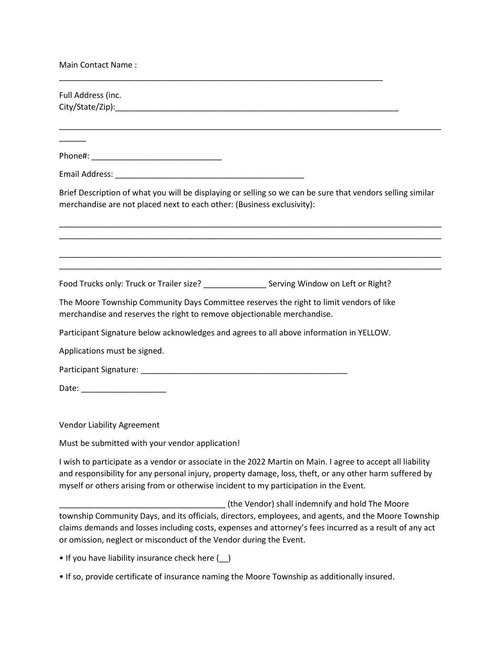| <b>Main Contact Name:</b>                                                                                                                                                            |
|--------------------------------------------------------------------------------------------------------------------------------------------------------------------------------------|
| Full Address (inc.                                                                                                                                                                   |
|                                                                                                                                                                                      |
| Brief Description of what you will be displaying or selling so we can be sure that vendors selling similar<br>merchandise are not placed next to each other: (Business exclusivity): |
|                                                                                                                                                                                      |
| The Moore Township Community Days Committee reserves the right to limit vendors of like<br>merchandise and reserves the right to remove objectionable merchandise.                   |
| Participant Signature below acknowledges and agrees to all above information in YELLOW.                                                                                              |
| Applications must be signed.                                                                                                                                                         |
|                                                                                                                                                                                      |
|                                                                                                                                                                                      |
| <b>Vendor Liability Agreement</b>                                                                                                                                                    |
| Must be submitted with your vendor application!                                                                                                                                      |

I wish to participate as a vendor or associate in the 2022 Martin on Main. I agree to accept all liability and responsibility for any personal injury, property damage, loss, theft, or any other harm suffered by myself or others arising from or otherwise incident to my participation in the Event.

\_\_\_\_\_\_\_\_\_\_\_\_\_\_\_\_\_\_\_\_\_\_\_\_\_\_\_\_\_\_\_\_\_\_\_\_\_ (the Vendor) shall indemnify and hold The Moore township Community Days, and its officials, directors, employees, and agents, and the Moore Township claims demands and losses including costs, expenses and attorney's fees incurred as a result of any act or omission, neglect or misconduct of the Vendor during the Event.

• If you have liability insurance check here (\_\_)

• If so, provide certificate of insurance naming the Moore Township as additionally insured.